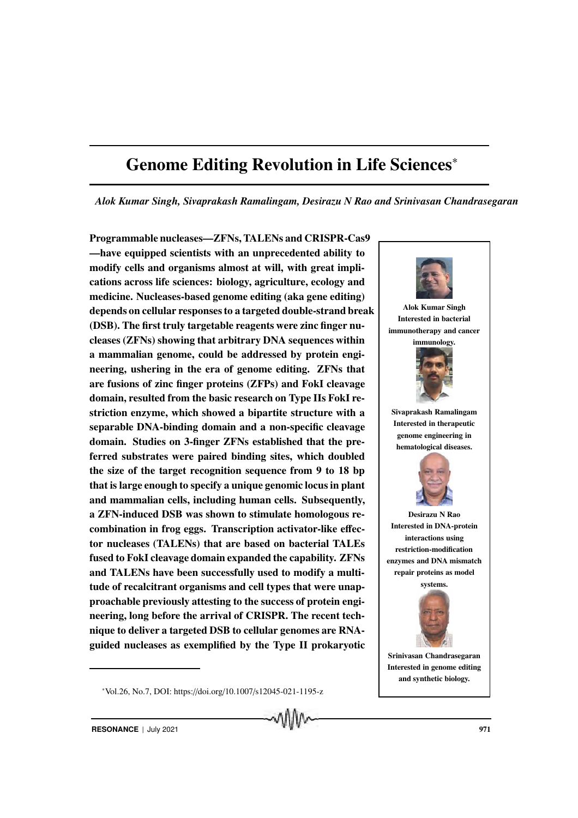# Genome Editing Revolution in Life Sciences<sup>∗</sup>

*Alok Kumar Singh, Sivaprakash Ramalingam, Desirazu N Rao and Srinivasan Chandrasegaran*

Programmable nucleases—ZFNs, TALENs and CRISPR-Cas9 —have equipped scientists with an unprecedented ability to modify cells and organisms almost at will, with great implications across life sciences: biology, agriculture, ecology and medicine. Nucleases-based genome editing (aka gene editing) depends on cellular responses to a targeted double-strand break (DSB). The first truly targetable reagents were zinc finger nucleases (ZFNs) showing that arbitrary DNA sequences within a mammalian genome, could be addressed by protein engineering, ushering in the era of genome editing. ZFNs that are fusions of zinc finger proteins (ZFPs) and FokI cleavage domain, resulted from the basic research on Type IIs FokI restriction enzyme, which showed a bipartite structure with a separable DNA-binding domain and a non-specific cleavage domain. Studies on 3-finger ZFNs established that the preferred substrates were paired binding sites, which doubled the size of the target recognition sequence from 9 to 18 bp that is large enough to specify a unique genomic locus in plant and mammalian cells, including human cells. Subsequently, a ZFN-induced DSB was shown to stimulate homologous recombination in frog eggs. Transcription activator-like effector nucleases (TALENs) that are based on bacterial TALEs fused to FokI cleavage domain expanded the capability. ZFNs and TALENs have been successfully used to modify a multitude of recalcitrant organisms and cell types that were unapproachable previously attesting to the success of protein engineering, long before the arrival of CRISPR. The recent technique to deliver a targeted DSB to cellular genomes are RNAguided nucleases as exemplified by the Type II prokaryotic



Alok Kumar Singh Interested in bacterial immunotherapy and cancer

immunology.



Sivaprakash Ramalingam Interested in therapeutic genome engineering in hematological diseases.



Desirazu N Rao Interested in DNA-protein interactions using restriction-modification enzymes and DNA mismatch repair proteins as model



Srinivasan Chandrasegaran Interested in genome editing and synthetic biology.

<sup>∗</sup>Vol.26, No.7, DOI: https://doi.org/10.1007/s12045-021-1195-z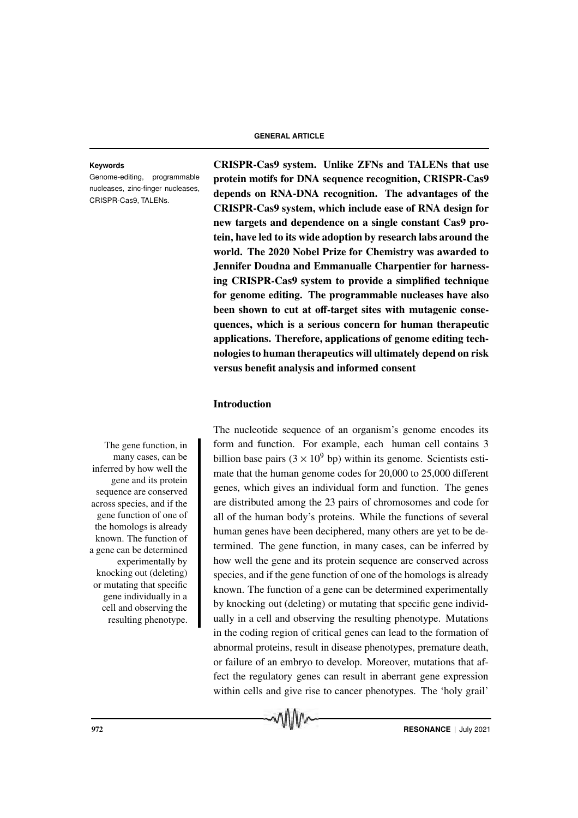Genome-editing, programmable nucleases, zinc-finger nucleases, CRISPR-Cas9, TALENs.

**Keywords** CRISPR-Cas9 system. Unlike ZFNs and TALENs that use protein motifs for DNA sequence recognition, CRISPR-Cas9 depends on RNA-DNA recognition. The advantages of the CRISPR-Cas9 system, which include ease of RNA design for new targets and dependence on a single constant Cas9 protein, have led to its wide adoption by research labs around the world. The 2020 Nobel Prize for Chemistry was awarded to Jennifer Doudna and Emmanualle Charpentier for harnessing CRISPR-Cas9 system to provide a simplified technique for genome editing. The programmable nucleases have also been shown to cut at off-target sites with mutagenic consequences, which is a serious concern for human therapeutic applications. Therefore, applications of genome editing technologies to human therapeutics will ultimately depend on risk versus benefit analysis and informed consent

## Introduction

many cases, can be inferred by how well the gene and its protein sequence are conserved across species, and if the gene function of one of the homologs is already known. The function of a gene can be determined experimentally by knocking out (deleting) or mutating that specific gene individually in a cell and observing the resulting phenotype.

The nucleotide sequence of an organism's genome encodes its The gene function, in form and function. For example, each human cell contains 3 billion base pairs  $(3 \times 10^9$  bp) within its genome. Scientists estimate that the human genome codes for 20,000 to 25,000 different genes, which gives an individual form and function. The genes are distributed among the 23 pairs of chromosomes and code for all of the human body's proteins. While the functions of several human genes have been deciphered, many others are yet to be determined. The gene function, in many cases, can be inferred by how well the gene and its protein sequence are conserved across species, and if the gene function of one of the homologs is already known. The function of a gene can be determined experimentally by knocking out (deleting) or mutating that specific gene individually in a cell and observing the resulting phenotype. Mutations in the coding region of critical genes can lead to the formation of abnormal proteins, result in disease phenotypes, premature death, or failure of an embryo to develop. Moreover, mutations that affect the regulatory genes can result in aberrant gene expression within cells and give rise to cancer phenotypes. The 'holy grail'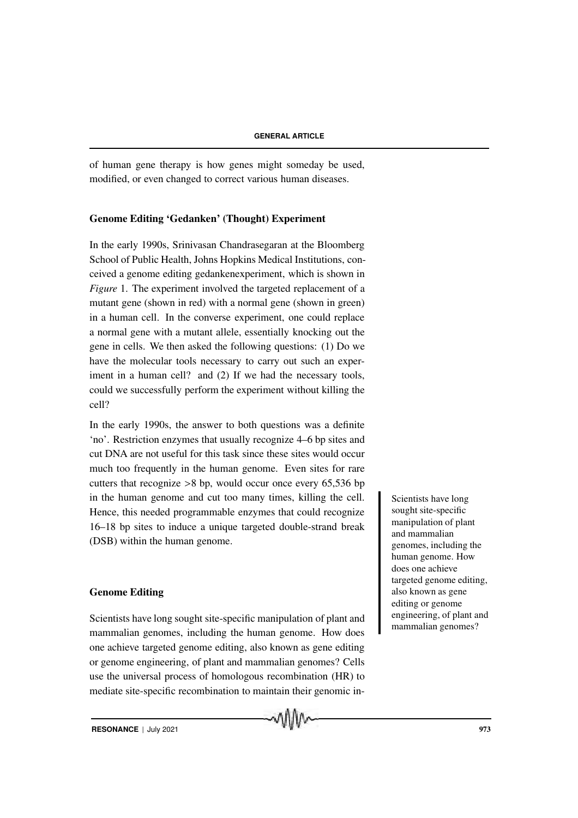of human gene therapy is how genes might someday be used, modified, or even changed to correct various human diseases.

## Genome Editing 'Gedanken' (Thought) Experiment

In the early 1990s, Srinivasan Chandrasegaran at the Bloomberg School of Public Health, Johns Hopkins Medical Institutions, conceived a genome editing gedankenexperiment, which is shown in *Figure* 1. The experiment involved the targeted replacement of a mutant gene (shown in red) with a normal gene (shown in green) in a human cell. In the converse experiment, one could replace a normal gene with a mutant allele, essentially knocking out the gene in cells. We then asked the following questions: (1) Do we have the molecular tools necessary to carry out such an experiment in a human cell? and (2) If we had the necessary tools, could we successfully perform the experiment without killing the cell?

In the early 1990s, the answer to both questions was a definite 'no'. Restriction enzymes that usually recognize 4–6 bp sites and cut DNA are not useful for this task since these sites would occur much too frequently in the human genome. Even sites for rare cutters that recognize >8 bp, would occur once every 65,536 bp in the human genome and cut too many times, killing the cell. Scientists have long Hence, this needed programmable enzymes that could recognize 16–18 bp sites to induce a unique targeted double-strand break (DSB) within the human genome.

## Genome Editing

Scientists have long sought site-specific manipulation of plant and mammalian genomes, including the human genome. How does one achieve targeted genome editing, also known as gene editing or genome engineering, of plant and mammalian genomes? Cells use the universal process of homologous recombination (HR) to mediate site-specific recombination to maintain their genomic in-

MIIIN

sought site-specific manipulation of plant and mammalian genomes, including the human genome. How does one achieve targeted genome editing, also known as gene editing or genome engineering, of plant and mammalian genomes?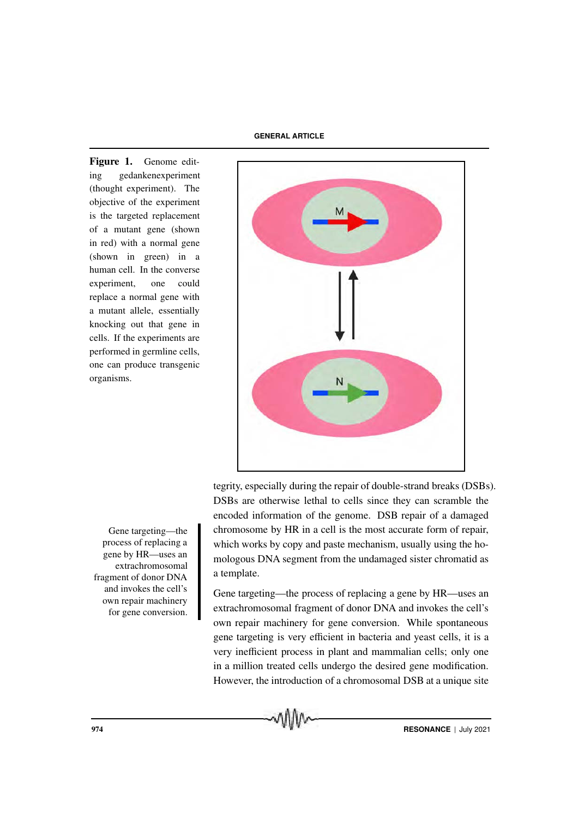**GENERAL ARTICLE**

Figure 1. Genome editing gedankenexperiment (thought experiment). The objective of the experiment is the targeted replacement of a mutant gene (shown in red) with a normal gene (shown in green) in a human cell. In the converse experiment, one could replace a normal gene with a mutant allele, essentially knocking out that gene in cells. If the experiments are performed in germline cells, one can produce transgenic organisms.



tegrity, especially during the repair of double-strand breaks (DSBs). DSBs are otherwise lethal to cells since they can scramble the encoded information of the genome. DSB repair of a damaged Gene targeting—the chromosome by HR in a cell is the most accurate form of repair, which works by copy and paste mechanism, usually using the homologous DNA segment from the undamaged sister chromatid as a template.

> Gene targeting—the process of replacing a gene by HR—uses an extrachromosomal fragment of donor DNA and invokes the cell's own repair machinery for gene conversion. While spontaneous gene targeting is very efficient in bacteria and yeast cells, it is a very inefficient process in plant and mammalian cells; only one in a million treated cells undergo the desired gene modification. However, the introduction of a chromosomal DSB at a unique site

process of replacing a gene by HR—uses an extrachromosomal fragment of donor DNA and invokes the cell's own repair machinery for gene conversion.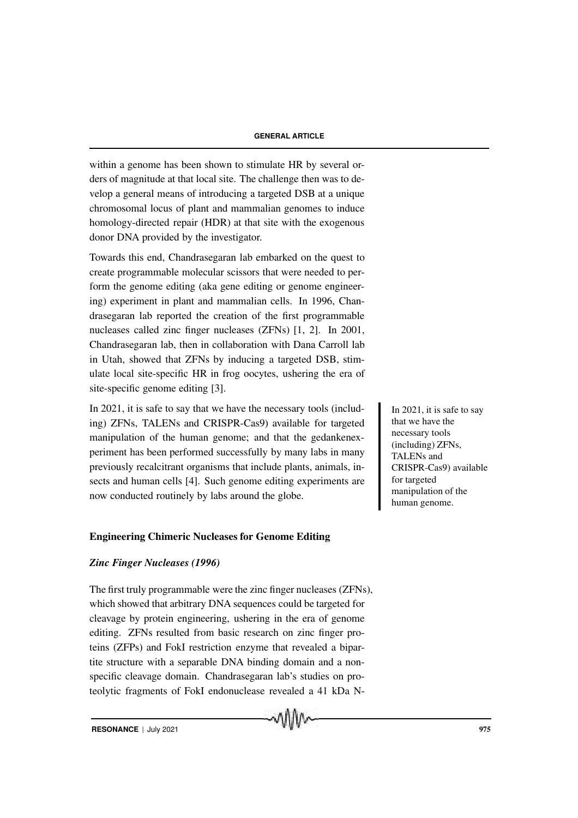within a genome has been shown to stimulate HR by several orders of magnitude at that local site. The challenge then was to develop a general means of introducing a targeted DSB at a unique chromosomal locus of plant and mammalian genomes to induce homology-directed repair (HDR) at that site with the exogenous donor DNA provided by the investigator.

Towards this end, Chandrasegaran lab embarked on the quest to create programmable molecular scissors that were needed to perform the genome editing (aka gene editing or genome engineering) experiment in plant and mammalian cells. In 1996, Chandrasegaran lab reported the creation of the first programmable nucleases called zinc finger nucleases (ZFNs) [1, 2]. In 2001, Chandrasegaran lab, then in collaboration with Dana Carroll lab in Utah, showed that ZFNs by inducing a targeted DSB, stimulate local site-specific HR in frog oocytes, ushering the era of site-specific genome editing [3].

In 2021, it is safe to say that we have the necessary tools (includ-<br>In 2021, it is safe to say ing) ZFNs, TALENs and CRISPR-Cas9) available for targeted manipulation of the human genome; and that the gedankenexperiment has been performed successfully by many labs in many previously recalcitrant organisms that include plants, animals, insects and human cells [4]. Such genome editing experiments are now conducted routinely by labs around the globe.

## Engineering Chimeric Nucleases for Genome Editing

## *Zinc Finger Nucleases (1996)*

The first truly programmable were the zinc finger nucleases (ZFNs), which showed that arbitrary DNA sequences could be targeted for cleavage by protein engineering, ushering in the era of genome editing. ZFNs resulted from basic research on zinc finger proteins (ZFPs) and FokI restriction enzyme that revealed a bipartite structure with a separable DNA binding domain and a nonspecific cleavage domain. Chandrasegaran lab's studies on proteolytic fragments of FokI endonuclease revealed a 41 kDa N-

MIIM

that we have the necessary tools (including) ZFNs, TALENs and CRISPR-Cas9) available for targeted manipulation of the human genome.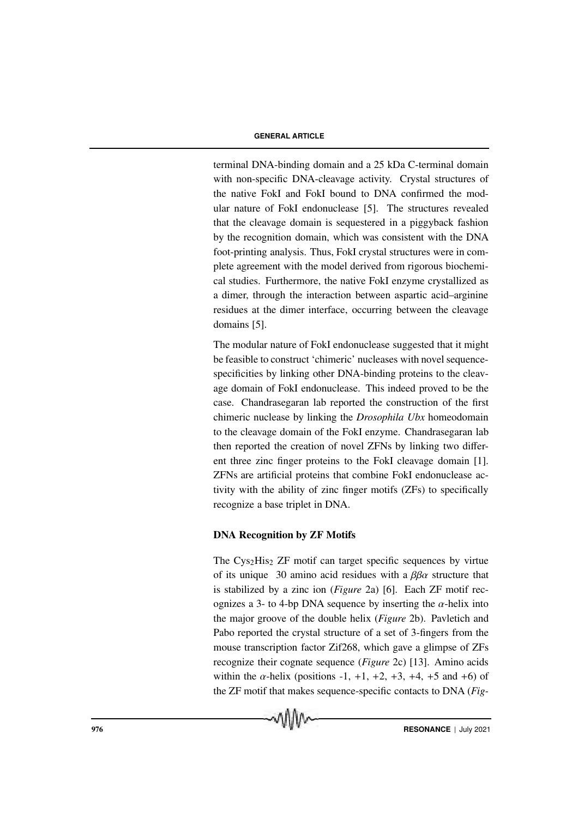terminal DNA-binding domain and a 25 kDa C-terminal domain with non-specific DNA-cleavage activity. Crystal structures of the native FokI and FokI bound to DNA confirmed the modular nature of FokI endonuclease [5]. The structures revealed that the cleavage domain is sequestered in a piggyback fashion by the recognition domain, which was consistent with the DNA foot-printing analysis. Thus, FokI crystal structures were in complete agreement with the model derived from rigorous biochemical studies. Furthermore, the native FokI enzyme crystallized as a dimer, through the interaction between aspartic acid–arginine residues at the dimer interface, occurring between the cleavage domains [5].

The modular nature of FokI endonuclease suggested that it might be feasible to construct 'chimeric' nucleases with novel sequencespecificities by linking other DNA-binding proteins to the cleavage domain of FokI endonuclease. This indeed proved to be the case. Chandrasegaran lab reported the construction of the first chimeric nuclease by linking the *Drosophila Ubx* homeodomain to the cleavage domain of the FokI enzyme. Chandrasegaran lab then reported the creation of novel ZFNs by linking two different three zinc finger proteins to the FokI cleavage domain [1]. ZFNs are artificial proteins that combine FokI endonuclease activity with the ability of zinc finger motifs (ZFs) to specifically recognize a base triplet in DNA.

## DNA Recognition by ZF Motifs

The  $Cys<sub>2</sub>His<sub>2</sub> ZF$  motif can target specific sequences by virtue of its unique 30 amino acid residues with a  $\beta\beta\alpha$  structure that is stabilized by a zinc ion (*Figure* 2a) [6]. Each ZF motif recognizes a 3- to 4-bp DNA sequence by inserting the  $\alpha$ -helix into the major groove of the double helix (*Figure* 2b). Pavletich and Pabo reported the crystal structure of a set of 3-fingers from the mouse transcription factor Zif268, which gave a glimpse of ZFs recognize their cognate sequence (*Figure* 2c) [13]. Amino acids within the  $\alpha$ -helix (positions -1, +1, +2, +3, +4, +5 and +6) of the ZF motif that makes sequence-specific contacts to DNA (*Fig-*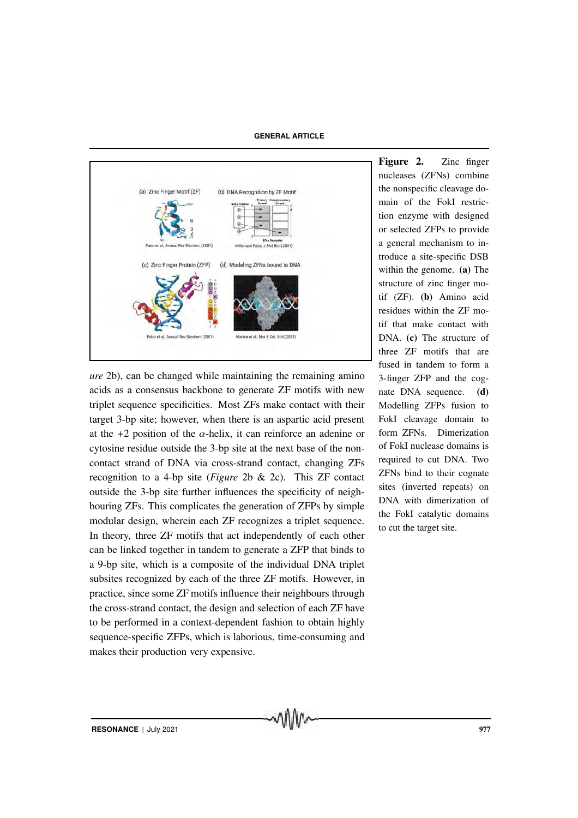**GENERAL ARTICLE**



*ure* 2b), can be changed while maintaining the remaining amino acids as a consensus backbone to generate ZF motifs with new triplet sequence specificities. Most ZFs make contact with their target 3-bp site; however, when there is an aspartic acid present at the  $+2$  position of the  $\alpha$ -helix, it can reinforce an adenine or cytosine residue outside the 3-bp site at the next base of the noncontact strand of DNA via cross-strand contact, changing ZFs recognition to a 4-bp site (*Figure* 2b & 2c). This ZF contact outside the 3-bp site further influences the specificity of neighbouring ZFs. This complicates the generation of ZFPs by simple modular design, wherein each ZF recognizes a triplet sequence. In theory, three ZF motifs that act independently of each other can be linked together in tandem to generate a ZFP that binds to a 9-bp site, which is a composite of the individual DNA triplet subsites recognized by each of the three ZF motifs. However, in practice, since some ZF motifs influence their neighbours through the cross-strand contact, the design and selection of each ZF have to be performed in a context-dependent fashion to obtain highly sequence-specific ZFPs, which is laborious, time-consuming and makes their production very expensive.

Figure 2. Zinc finger nucleases (ZFNs) combine the nonspecific cleavage domain of the FokI restriction enzyme with designed or selected ZFPs to provide a general mechanism to introduce a site-specific DSB within the genome. (a) The structure of zinc finger motif (ZF). (b) Amino acid residues within the ZF motif that make contact with DNA. (c) The structure of three ZF motifs that are fused in tandem to form a 3-finger ZFP and the cognate DNA sequence. (d) Modelling ZFPs fusion to FokI cleavage domain to form ZFNs. Dimerization of FokI nuclease domains is required to cut DNA. Two ZFNs bind to their cognate sites (inverted repeats) on DNA with dimerization of the FokI catalytic domains to cut the target site.

**RESONANCE** | July 2021 977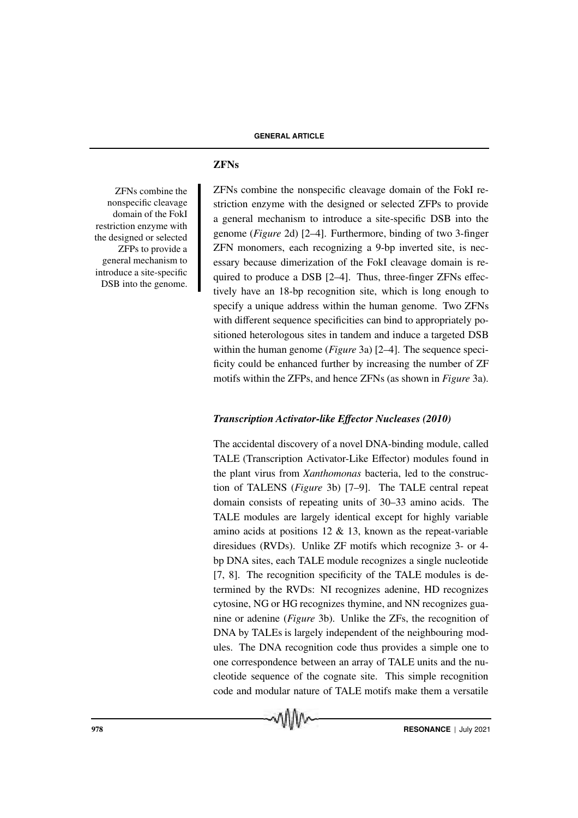## ZFNs

ZFNs combine the nonspecific cleavage domain of the FokI restriction enzyme with the designed or selected ZFPs to provide a general mechanism to introduce a site-specific DSB into the genome. ZFNs combine the nonspecific cleavage domain of the FokI restriction enzyme with the designed or selected ZFPs to provide a general mechanism to introduce a site-specific DSB into the genome (*Figure* 2d) [2–4]. Furthermore, binding of two 3-finger ZFN monomers, each recognizing a 9-bp inverted site, is necessary because dimerization of the FokI cleavage domain is required to produce a DSB [2–4]. Thus, three-finger ZFNs effectively have an 18-bp recognition site, which is long enough to specify a unique address within the human genome. Two ZFNs with different sequence specificities can bind to appropriately positioned heterologous sites in tandem and induce a targeted DSB within the human genome (*Figure* 3a) [2–4]. The sequence specificity could be enhanced further by increasing the number of ZF motifs within the ZFPs, and hence ZFNs (as shown in *Figure* 3a).

## *Transcription Activator-like E*ff*ector Nucleases (2010)*

The accidental discovery of a novel DNA-binding module, called TALE (Transcription Activator-Like Effector) modules found in the plant virus from *Xanthomonas* bacteria, led to the construction of TALENS (*Figure* 3b) [7–9]. The TALE central repeat domain consists of repeating units of 30–33 amino acids. The TALE modules are largely identical except for highly variable amino acids at positions  $12 \& 13$ , known as the repeat-variable diresidues (RVDs). Unlike ZF motifs which recognize 3- or 4 bp DNA sites, each TALE module recognizes a single nucleotide [7, 8]. The recognition specificity of the TALE modules is determined by the RVDs: NI recognizes adenine, HD recognizes cytosine, NG or HG recognizes thymine, and NN recognizes guanine or adenine (*Figure* 3b). Unlike the ZFs, the recognition of DNA by TALEs is largely independent of the neighbouring modules. The DNA recognition code thus provides a simple one to one correspondence between an array of TALE units and the nucleotide sequence of the cognate site. This simple recognition code and modular nature of TALE motifs make them a versatile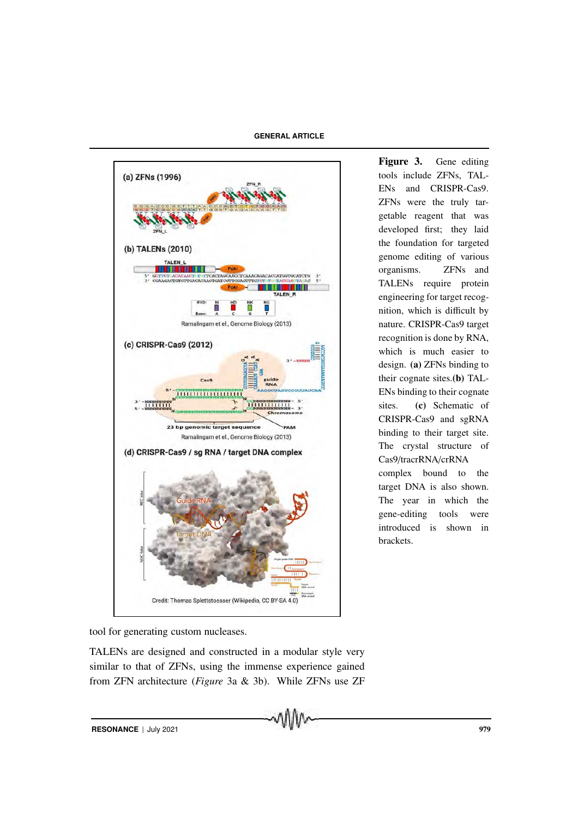**GENERAL ARTICLE**



Figure 3. Gene editing tools include ZFNs, TAL-ENs and CRISPR-Cas9. ZFNs were the truly targetable reagent that was developed first; they laid the foundation for targeted genome editing of various organisms. ZFNs and TALENs require protein engineering for target recognition, which is difficult by nature. CRISPR-Cas9 target recognition is done by RNA, which is much easier to design. (a) ZFNs binding to their cognate sites.(b) TAL-ENs binding to their cognate sites. (c) Schematic of CRISPR-Cas9 and sgRNA binding to their target site. The crystal structure of Cas9/tracrRNA/crRNA complex bound to the target DNA is also shown. The year in which the gene-editing tools were introduced is shown in brackets.

tool for generating custom nucleases.

TALENs are designed and constructed in a modular style very similar to that of ZFNs, using the immense experience gained from ZFN architecture (*Figure* 3a & 3b). While ZFNs use ZF

**RESONANCE** | July 2021 979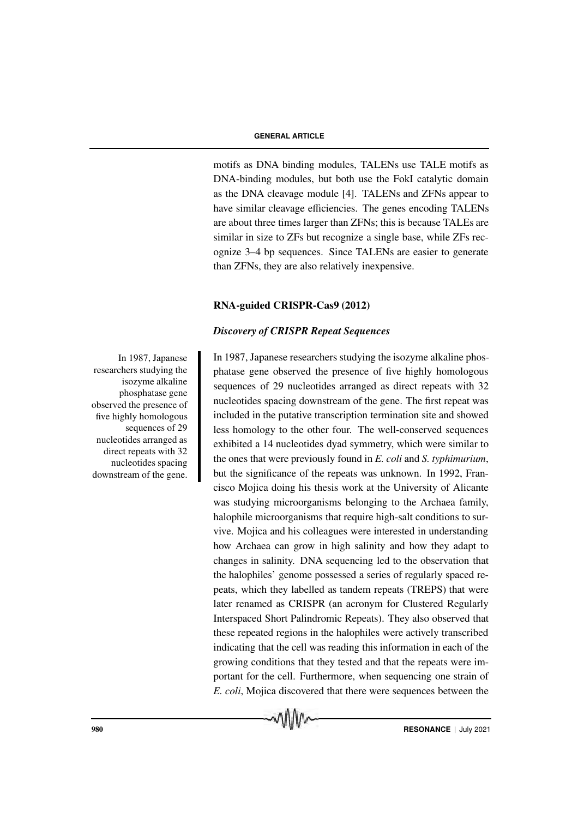motifs as DNA binding modules, TALENs use TALE motifs as DNA-binding modules, but both use the FokI catalytic domain as the DNA cleavage module [4]. TALENs and ZFNs appear to have similar cleavage efficiencies. The genes encoding TALENs are about three times larger than ZFNs; this is because TALEs are similar in size to ZFs but recognize a single base, while ZFs recognize 3–4 bp sequences. Since TALENs are easier to generate than ZFNs, they are also relatively inexpensive.

## RNA-guided CRISPR-Cas9 (2012)

## *Discovery of CRISPR Repeat Sequences*

In 1987, Japanese researchers studying the isozyme alkaline phosphatase gene observed the presence of five highly homologous sequences of 29 nucleotides arranged as direct repeats with 32 nucleotides spacing downstream of the gene. The first repeat was included in the putative transcription termination site and showed less homology to the other four. The well-conserved sequences exhibited a 14 nucleotides dyad symmetry, which were similar to the ones that were previously found in *E. coli* and *S. typhimurium*, but the significance of the repeats was unknown. In 1992, Francisco Mojica doing his thesis work at the University of Alicante was studying microorganisms belonging to the Archaea family, halophile microorganisms that require high-salt conditions to survive. Mojica and his colleagues were interested in understanding how Archaea can grow in high salinity and how they adapt to changes in salinity. DNA sequencing led to the observation that the halophiles' genome possessed a series of regularly spaced repeats, which they labelled as tandem repeats (TREPS) that were later renamed as CRISPR (an acronym for Clustered Regularly Interspaced Short Palindromic Repeats). They also observed that these repeated regions in the halophiles were actively transcribed indicating that the cell was reading this information in each of the growing conditions that they tested and that the repeats were important for the cell. Furthermore, when sequencing one strain of *E. coli*, Mojica discovered that there were sequences between the

In 1987, Japanese researchers studying the isozyme alkaline phosphatase gene observed the presence of five highly homologous sequences of 29 nucleotides arranged as direct repeats with 32 nucleotides spacing downstream of the gene.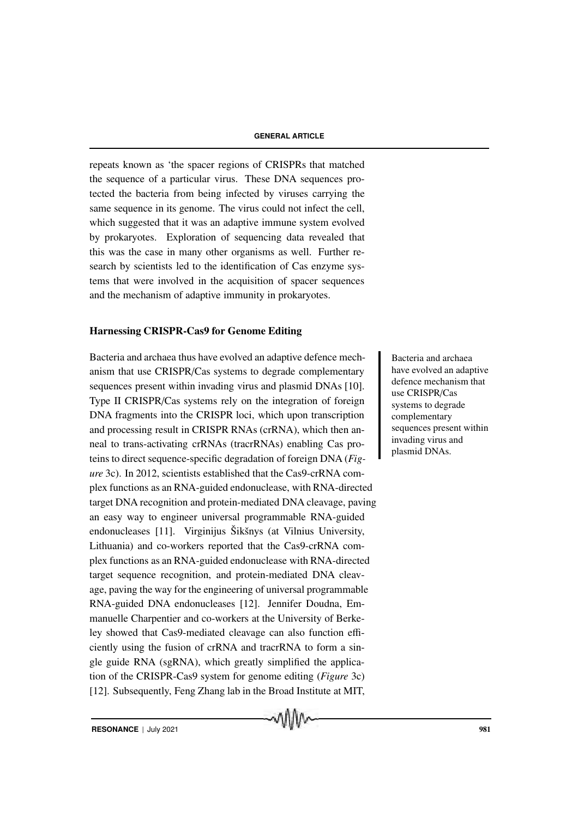repeats known as 'the spacer regions of CRISPRs that matched the sequence of a particular virus. These DNA sequences protected the bacteria from being infected by viruses carrying the same sequence in its genome. The virus could not infect the cell, which suggested that it was an adaptive immune system evolved by prokaryotes. Exploration of sequencing data revealed that this was the case in many other organisms as well. Further research by scientists led to the identification of Cas enzyme systems that were involved in the acquisition of spacer sequences and the mechanism of adaptive immunity in prokaryotes.

### Harnessing CRISPR-Cas9 for Genome Editing

Bacteria and archaea thus have evolved an adaptive defence mech-<br>Bacteria and archaea anism that use CRISPR/Cas systems to degrade complementary sequences present within invading virus and plasmid DNAs [10]. Type II CRISPR/Cas systems rely on the integration of foreign DNA fragments into the CRISPR loci, which upon transcription and processing result in CRISPR RNAs (crRNA), which then anneal to trans-activating crRNAs (tracrRNAs) enabling Cas proteins to direct sequence-specific degradation of foreign DNA (*Figure* 3c). In 2012, scientists established that the Cas9-crRNA complex functions as an RNA-guided endonuclease, with RNA-directed target DNA recognition and protein-mediated DNA cleavage, paving an easy way to engineer universal programmable RNA-guided endonucleases [11]. Virginijus Šikšnys (at Vilnius University, Lithuania) and co-workers reported that the Cas9-crRNA complex functions as an RNA-guided endonuclease with RNA-directed target sequence recognition, and protein-mediated DNA cleavage, paving the way for the engineering of universal programmable RNA-guided DNA endonucleases [12]. Jennifer Doudna, Emmanuelle Charpentier and co-workers at the University of Berkeley showed that Cas9-mediated cleavage can also function efficiently using the fusion of crRNA and tracrRNA to form a single guide RNA (sgRNA), which greatly simplified the application of the CRISPR-Cas9 system for genome editing (*Figure* 3c) [12]. Subsequently, Feng Zhang lab in the Broad Institute at MIT,

MIIM

have evolved an adaptive defence mechanism that use CRISPR/Cas systems to degrade complementary sequences present within invading virus and plasmid DNAs.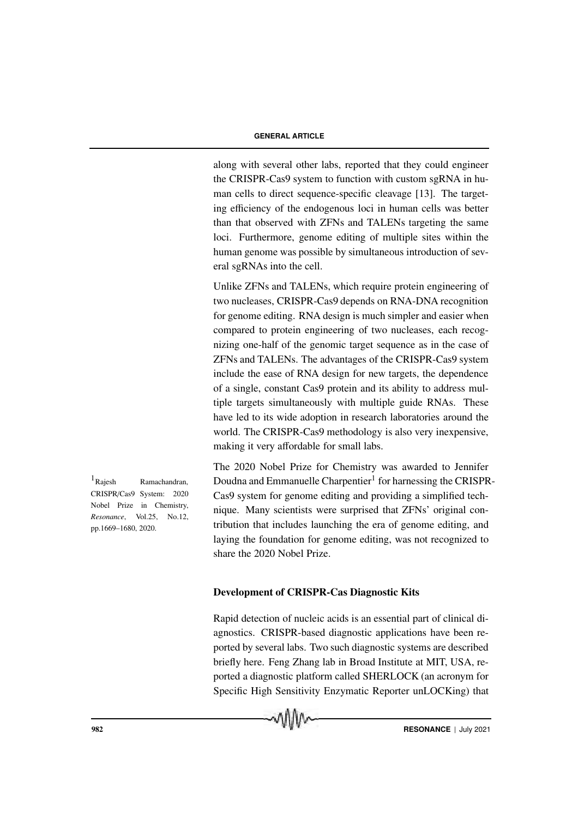along with several other labs, reported that they could engineer the CRISPR-Cas9 system to function with custom sgRNA in human cells to direct sequence-specific cleavage [13]. The targeting efficiency of the endogenous loci in human cells was better than that observed with ZFNs and TALENs targeting the same loci. Furthermore, genome editing of multiple sites within the human genome was possible by simultaneous introduction of several sgRNAs into the cell.

Unlike ZFNs and TALENs, which require protein engineering of two nucleases, CRISPR-Cas9 depends on RNA-DNA recognition for genome editing. RNA design is much simpler and easier when compared to protein engineering of two nucleases, each recognizing one-half of the genomic target sequence as in the case of ZFNs and TALENs. The advantages of the CRISPR-Cas9 system include the ease of RNA design for new targets, the dependence of a single, constant Cas9 protein and its ability to address multiple targets simultaneously with multiple guide RNAs. These have led to its wide adoption in research laboratories around the world. The CRISPR-Cas9 methodology is also very inexpensive, making it very affordable for small labs.

The 2020 Nobel Prize for Chemistry was awarded to Jennifer  $1_{\text{Rajesh}}$  Ramachandran, Doudna and Emmanuelle Charpentier<sup>1</sup> for harnessing the CRISPR-Cas9 system for genome editing and providing a simplified technique. Many scientists were surprised that ZFNs' original contribution that includes launching the era of genome editing, and laying the foundation for genome editing, was not recognized to share the 2020 Nobel Prize.

#### Development of CRISPR-Cas Diagnostic Kits

Rapid detection of nucleic acids is an essential part of clinical diagnostics. CRISPR-based diagnostic applications have been reported by several labs. Two such diagnostic systems are described briefly here. Feng Zhang lab in Broad Institute at MIT, USA, reported a diagnostic platform called SHERLOCK (an acronym for Specific High Sensitivity Enzymatic Reporter unLOCKing) that



CRISPR/Cas9 System: 2020 Nobel Prize in Chemistry, *Resonance*, Vol.25, No.12, pp.1669–1680, 2020.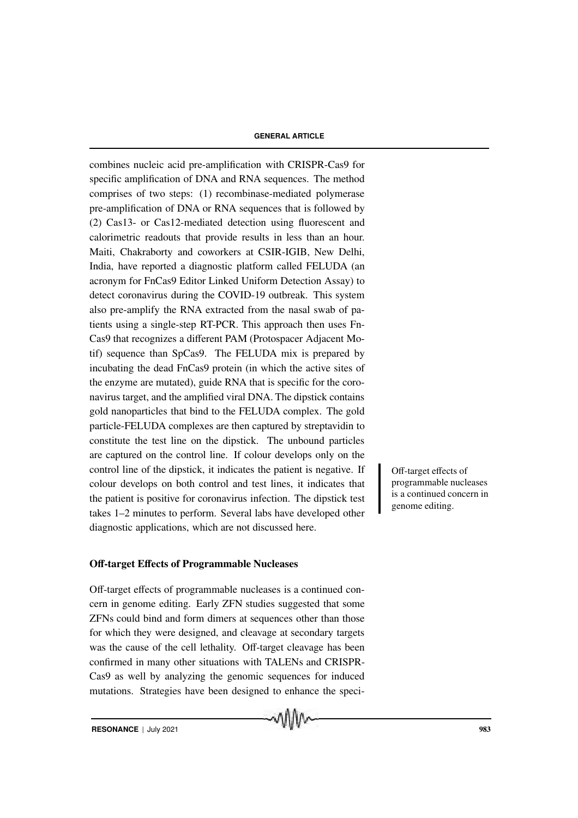combines nucleic acid pre-amplification with CRISPR-Cas9 for specific amplification of DNA and RNA sequences. The method comprises of two steps: (1) recombinase-mediated polymerase pre-amplification of DNA or RNA sequences that is followed by (2) Cas13- or Cas12-mediated detection using fluorescent and calorimetric readouts that provide results in less than an hour. Maiti, Chakraborty and coworkers at CSIR-IGIB, New Delhi, India, have reported a diagnostic platform called FELUDA (an acronym for FnCas9 Editor Linked Uniform Detection Assay) to detect coronavirus during the COVID-19 outbreak. This system also pre-amplify the RNA extracted from the nasal swab of patients using a single-step RT-PCR. This approach then uses Fn-Cas9 that recognizes a different PAM (Protospacer Adjacent Motif) sequence than SpCas9. The FELUDA mix is prepared by incubating the dead FnCas9 protein (in which the active sites of the enzyme are mutated), guide RNA that is specific for the coronavirus target, and the amplified viral DNA. The dipstick contains gold nanoparticles that bind to the FELUDA complex. The gold particle-FELUDA complexes are then captured by streptavidin to constitute the test line on the dipstick. The unbound particles are captured on the control line. If colour develops only on the control line of the dipstick, it indicates the patient is negative. If Off-target effects of colour develops on both control and test lines, it indicates that the patient is positive for coronavirus infection. The dipstick test takes 1–2 minutes to perform. Several labs have developed other diagnostic applications, which are not discussed here.

### Off-target Effects of Programmable Nucleases

Off-target effects of programmable nucleases is a continued concern in genome editing. Early ZFN studies suggested that some ZFNs could bind and form dimers at sequences other than those for which they were designed, and cleavage at secondary targets was the cause of the cell lethality. Off-target cleavage has been confirmed in many other situations with TALENs and CRISPR-Cas9 as well by analyzing the genomic sequences for induced mutations. Strategies have been designed to enhance the speci-

MMM

programmable nucleases is a continued concern in genome editing.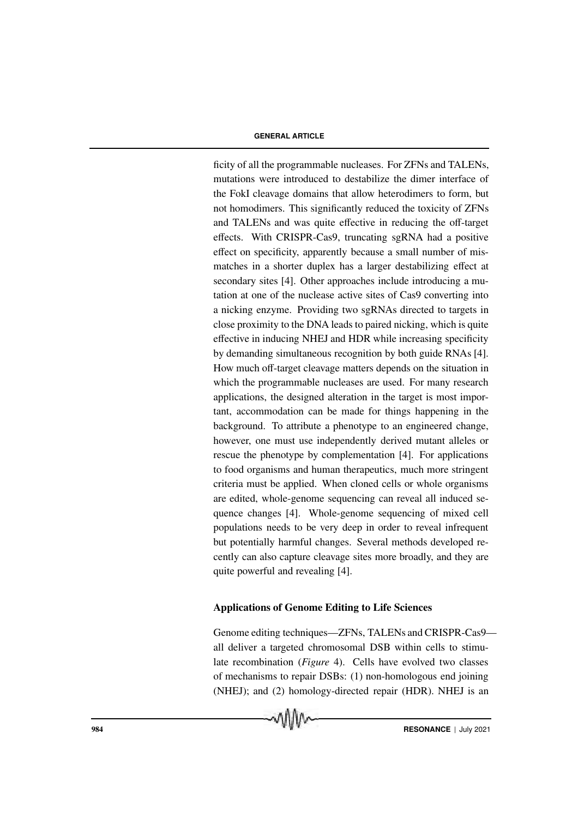ficity of all the programmable nucleases. For ZFNs and TALENs, mutations were introduced to destabilize the dimer interface of the FokI cleavage domains that allow heterodimers to form, but not homodimers. This significantly reduced the toxicity of ZFNs and TALENs and was quite effective in reducing the off-target effects. With CRISPR-Cas9, truncating sgRNA had a positive effect on specificity, apparently because a small number of mismatches in a shorter duplex has a larger destabilizing effect at secondary sites [4]. Other approaches include introducing a mutation at one of the nuclease active sites of Cas9 converting into a nicking enzyme. Providing two sgRNAs directed to targets in close proximity to the DNA leads to paired nicking, which is quite effective in inducing NHEJ and HDR while increasing specificity by demanding simultaneous recognition by both guide RNAs [4]. How much off-target cleavage matters depends on the situation in which the programmable nucleases are used. For many research applications, the designed alteration in the target is most important, accommodation can be made for things happening in the background. To attribute a phenotype to an engineered change, however, one must use independently derived mutant alleles or rescue the phenotype by complementation [4]. For applications to food organisms and human therapeutics, much more stringent criteria must be applied. When cloned cells or whole organisms are edited, whole-genome sequencing can reveal all induced sequence changes [4]. Whole-genome sequencing of mixed cell populations needs to be very deep in order to reveal infrequent but potentially harmful changes. Several methods developed recently can also capture cleavage sites more broadly, and they are quite powerful and revealing [4].

#### Applications of Genome Editing to Life Sciences

Genome editing techniques—ZFNs, TALENs and CRISPR-Cas9 all deliver a targeted chromosomal DSB within cells to stimulate recombination (*Figure* 4). Cells have evolved two classes of mechanisms to repair DSBs: (1) non-homologous end joining (NHEJ); and (2) homology-directed repair (HDR). NHEJ is an

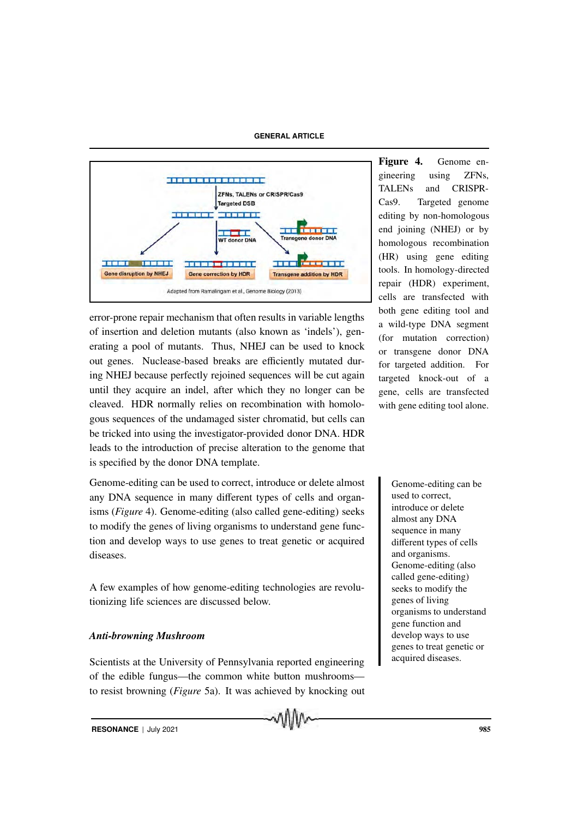**GENERAL ARTICLE**



error-prone repair mechanism that often results in variable lengths of insertion and deletion mutants (also known as 'indels'), generating a pool of mutants. Thus, NHEJ can be used to knock out genes. Nuclease-based breaks are efficiently mutated during NHEJ because perfectly rejoined sequences will be cut again until they acquire an indel, after which they no longer can be cleaved. HDR normally relies on recombination with homologous sequences of the undamaged sister chromatid, but cells can be tricked into using the investigator-provided donor DNA. HDR leads to the introduction of precise alteration to the genome that is specified by the donor DNA template.

Genome-editing can be used to correct, introduce or delete almost Genome-editing can be any DNA sequence in many different types of cells and organisms (*Figure* 4). Genome-editing (also called gene-editing) seeks to modify the genes of living organisms to understand gene function and develop ways to use genes to treat genetic or acquired diseases.

A few examples of how genome-editing technologies are revolutionizing life sciences are discussed below.

## *Anti-browning Mushroom*

Scientists at the University of Pennsylvania reported engineering of the edible fungus—the common white button mushrooms to resist browning (*Figure* 5a). It was achieved by knocking out Figure 4. Genome engineering using ZFNs, TALENs and CRISPR-Cas9. Targeted genome editing by non-homologous end joining (NHEJ) or by homologous recombination (HR) using gene editing tools. In homology-directed repair (HDR) experiment, cells are transfected with both gene editing tool and a wild-type DNA segment (for mutation correction) or transgene donor DNA for targeted addition. For targeted knock-out of a gene, cells are transfected with gene editing tool alone.

> used to correct, introduce or delete almost any DNA sequence in many different types of cells and organisms. Genome-editing (also called gene-editing) seeks to modify the genes of living organisms to understand gene function and develop ways to use genes to treat genetic or acquired diseases.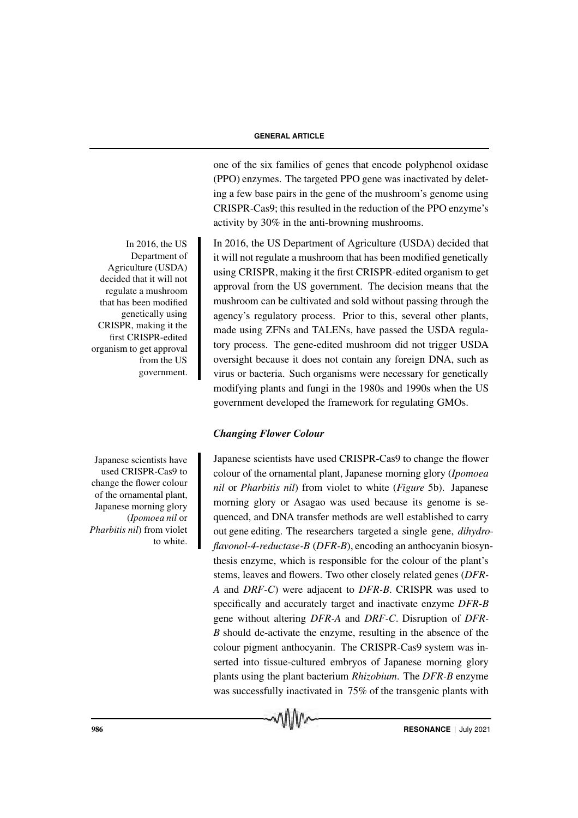one of the six families of genes that encode polyphenol oxidase (PPO) enzymes. The targeted PPO gene was inactivated by deleting a few base pairs in the gene of the mushroom's genome using CRISPR-Cas9; this resulted in the reduction of the PPO enzyme's activity by 30% in the anti-browning mushrooms.

it will not regulate a mushroom that has been modified genetically using CRISPR, making it the first CRISPR-edited organism to get approval from the US government. The decision means that the mushroom can be cultivated and sold without passing through the agency's regulatory process. Prior to this, several other plants, made using ZFNs and TALENs, have passed the USDA regulatory process. The gene-edited mushroom did not trigger USDA oversight because it does not contain any foreign DNA, such as virus or bacteria. Such organisms were necessary for genetically modifying plants and fungi in the 1980s and 1990s when the US government developed the framework for regulating GMOs.

## *Changing Flower Colour*

Japanese scientists have used CRISPR-Cas9 to change the flower colour of the ornamental plant, Japanese morning glory (*Ipomoea nil* or *Pharbitis nil*) from violet to white (*Figure* 5b). Japanese morning glory or Asagao was used because its genome is sequenced, and DNA transfer methods are well established to carry out gene editing. The researchers targeted a single gene, *dihydroflavonol-4-reductase-B* (*DFR-B*), encoding an anthocyanin biosynthesis enzyme, which is responsible for the colour of the plant's stems, leaves and flowers. Two other closely related genes (*DFR-A* and *DRF-C*) were adjacent to *DFR-B*. CRISPR was used to specifically and accurately target and inactivate enzyme *DFR-B* gene without altering *DFR-A* and *DRF-C*. Disruption of *DFR-B* should de-activate the enzyme, resulting in the absence of the colour pigment anthocyanin. The CRISPR-Cas9 system was inserted into tissue-cultured embryos of Japanese morning glory plants using the plant bacterium *Rhizobium*. The *DFR-B* enzyme was successfully inactivated in 75% of the transgenic plants with

In 2016, the US Department of Agriculture (USDA) decided that

Department of Agriculture (USDA) decided that it will not regulate a mushroom that has been modified genetically using CRISPR, making it the first CRISPR-edited organism to get approval from the US government.

In 2016, the  $US$ 

Japanese scientists have used CRISPR-Cas9 to change the flower colour of the ornamental plant, Japanese morning glory (*Ipomoea nil* or *Pharbitis nil*) from violet to white.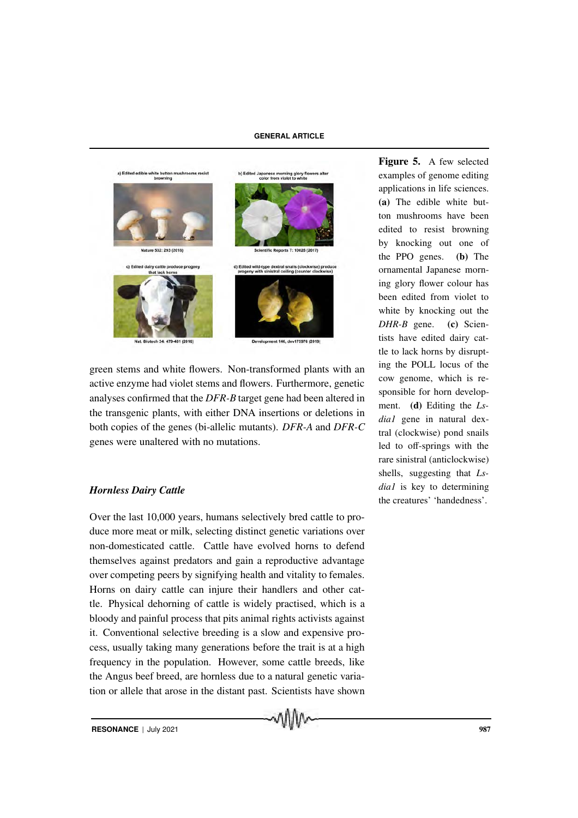

green stems and white flowers. Non-transformed plants with an active enzyme had violet stems and flowers. Furthermore, genetic analyses confirmed that the *DFR-B* target gene had been altered in the transgenic plants, with either DNA insertions or deletions in both copies of the genes (bi-allelic mutants). *DFR-A* and *DFR-C* genes were unaltered with no mutations.

## *Hornless Dairy Cattle*

Over the last 10,000 years, humans selectively bred cattle to produce more meat or milk, selecting distinct genetic variations over non-domesticated cattle. Cattle have evolved horns to defend themselves against predators and gain a reproductive advantage over competing peers by signifying health and vitality to females. Horns on dairy cattle can injure their handlers and other cattle. Physical dehorning of cattle is widely practised, which is a bloody and painful process that pits animal rights activists against it. Conventional selective breeding is a slow and expensive process, usually taking many generations before the trait is at a high frequency in the population. However, some cattle breeds, like the Angus beef breed, are hornless due to a natural genetic variation or allele that arose in the distant past. Scientists have shown Figure 5. A few selected examples of genome editing applications in life sciences. (a) The edible white button mushrooms have been edited to resist browning by knocking out one of the PPO genes. (b) The ornamental Japanese morning glory flower colour has been edited from violet to white by knocking out the *DHR-B* gene. (c) Scientists have edited dairy cattle to lack horns by disrupting the POLL locus of the cow genome, which is responsible for horn development. (d) Editing the *Lsdia1* gene in natural dextral (clockwise) pond snails led to off-springs with the rare sinistral (anticlockwise) shells, suggesting that *Lsdia1* is key to determining the creatures' 'handedness'.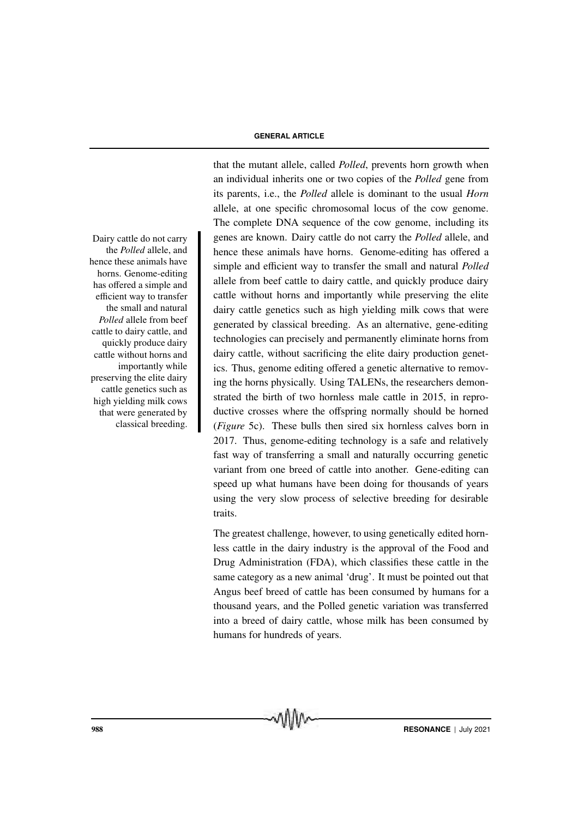the *Polled* allele, and hence these animals have horns. Genome-editing has offered a simple and efficient way to transfer the small and natural *Polled* allele from beef cattle to dairy cattle, and quickly produce dairy cattle without horns and importantly while preserving the elite dairy cattle genetics such as high yielding milk cows that were generated by classical breeding.

that the mutant allele, called *Polled*, prevents horn growth when an individual inherits one or two copies of the *Polled* gene from its parents, i.e., the *Polled* allele is dominant to the usual *Horn* allele, at one specific chromosomal locus of the cow genome. The complete DNA sequence of the cow genome, including its Dairy cattle do not carry **c** genes are known. Dairy cattle do not carry the *Polled* allele, and hence these animals have horns. Genome-editing has offered a simple and efficient way to transfer the small and natural *Polled* allele from beef cattle to dairy cattle, and quickly produce dairy cattle without horns and importantly while preserving the elite dairy cattle genetics such as high yielding milk cows that were generated by classical breeding. As an alternative, gene-editing technologies can precisely and permanently eliminate horns from dairy cattle, without sacrificing the elite dairy production genetics. Thus, genome editing offered a genetic alternative to removing the horns physically. Using TALENs, the researchers demonstrated the birth of two hornless male cattle in 2015, in reproductive crosses where the offspring normally should be horned (*Figure* 5c). These bulls then sired six hornless calves born in 2017. Thus, genome-editing technology is a safe and relatively fast way of transferring a small and naturally occurring genetic variant from one breed of cattle into another. Gene-editing can speed up what humans have been doing for thousands of years using the very slow process of selective breeding for desirable traits.

> The greatest challenge, however, to using genetically edited hornless cattle in the dairy industry is the approval of the Food and Drug Administration (FDA), which classifies these cattle in the same category as a new animal 'drug'. It must be pointed out that Angus beef breed of cattle has been consumed by humans for a thousand years, and the Polled genetic variation was transferred into a breed of dairy cattle, whose milk has been consumed by humans for hundreds of years.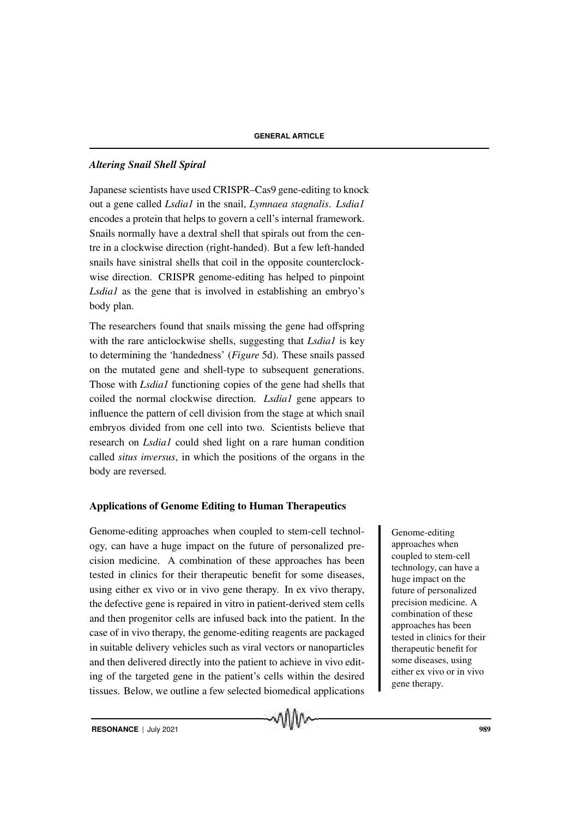## *Altering Snail Shell Spiral*

Japanese scientists have used CRISPR–Cas9 gene-editing to knock out a gene called *Lsdia1* in the snail, *Lymnaea stagnalis*. *Lsdia1* encodes a protein that helps to govern a cell's internal framework. Snails normally have a dextral shell that spirals out from the centre in a clockwise direction (right-handed). But a few left-handed snails have sinistral shells that coil in the opposite counterclockwise direction. CRISPR genome-editing has helped to pinpoint *Lsdia1* as the gene that is involved in establishing an embryo's body plan.

The researchers found that snails missing the gene had offspring with the rare anticlockwise shells, suggesting that *Lsdia1* is key to determining the 'handedness' (*Figure* 5d). These snails passed on the mutated gene and shell-type to subsequent generations. Those with *Lsdia1* functioning copies of the gene had shells that coiled the normal clockwise direction. *Lsdia1* gene appears to influence the pattern of cell division from the stage at which snail embryos divided from one cell into two. Scientists believe that research on *Lsdia1* could shed light on a rare human condition called *situs inversus*, in which the positions of the organs in the body are reversed.

## Applications of Genome Editing to Human Therapeutics

Genome-editing approaches when coupled to stem-cell technol-<br>
Genome-editing ogy, can have a huge impact on the future of personalized precision medicine. A combination of these approaches has been tested in clinics for their therapeutic benefit for some diseases, using either ex vivo or in vivo gene therapy. In ex vivo therapy, the defective gene is repaired in vitro in patient-derived stem cells and then progenitor cells are infused back into the patient. In the case of in vivo therapy, the genome-editing reagents are packaged in suitable delivery vehicles such as viral vectors or nanoparticles and then delivered directly into the patient to achieve in vivo editing of the targeted gene in the patient's cells within the desired tissues. Below, we outline a few selected biomedical applications

MIIM

approaches when coupled to stem-cell technology, can have a huge impact on the future of personalized precision medicine. A combination of these approaches has been tested in clinics for their therapeutic benefit for some diseases, using either ex vivo or in vivo gene therapy.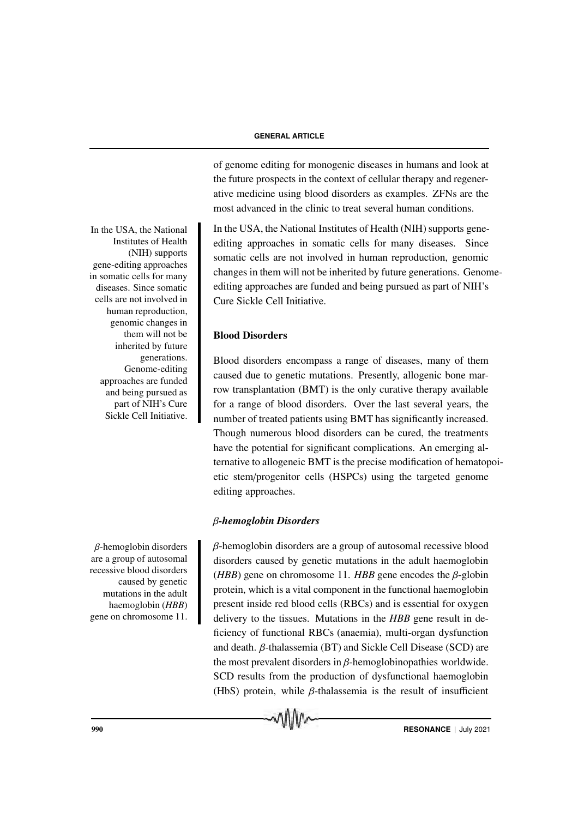of genome editing for monogenic diseases in humans and look at the future prospects in the context of cellular therapy and regenerative medicine using blood disorders as examples. ZFNs are the most advanced in the clinic to treat several human conditions.

In the USA, the National Institutes of Health (NIH) supports geneediting approaches in somatic cells for many diseases. Since somatic cells are not involved in human reproduction, genomic changes in them will not be inherited by future generations. Genomeediting approaches are funded and being pursued as part of NIH's Cure Sickle Cell Initiative.

## Blood Disorders

Blood disorders encompass a range of diseases, many of them caused due to genetic mutations. Presently, allogenic bone marrow transplantation (BMT) is the only curative therapy available for a range of blood disorders. Over the last several years, the number of treated patients using BMT has significantly increased. Though numerous blood disorders can be cured, the treatments have the potential for significant complications. An emerging alternative to allogeneic BMT is the precise modification of hematopoietic stem/progenitor cells (HSPCs) using the targeted genome editing approaches.

## β*-hemoglobin Disorders*

 $\beta$ -hemoglobin disorders are a group of autosomal recessive blood disorders caused by genetic mutations in the adult haemoglobin (*HBB*) gene on chromosome 11. *HBB* gene encodes the  $\beta$ -globin protein, which is a vital component in the functional haemoglobin present inside red blood cells (RBCs) and is essential for oxygen delivery to the tissues. Mutations in the *HBB* gene result in deficiency of functional RBCs (anaemia), multi-organ dysfunction and death. β-thalassemia (BT) and Sickle Cell Disease (SCD) are the most prevalent disorders in  $\beta$ -hemoglobinopathies worldwide. SCD results from the production of dysfunctional haemoglobin (HbS) protein, while  $\beta$ -thalassemia is the result of insufficient

Institutes of Health (NIH) supports gene-editing approaches in somatic cells for many diseases. Since somatic cells are not involved in human reproduction, genomic changes in them will not be inherited by future generations. Genome-editing approaches are funded and being pursued as part of NIH's Cure Sickle Cell Initiative.

In the USA, the National

 $β$ -hemoglobin disorders are a group of autosomal recessive blood disorders caused by genetic mutations in the adult haemoglobin (*HBB*) gene on chromosome 11.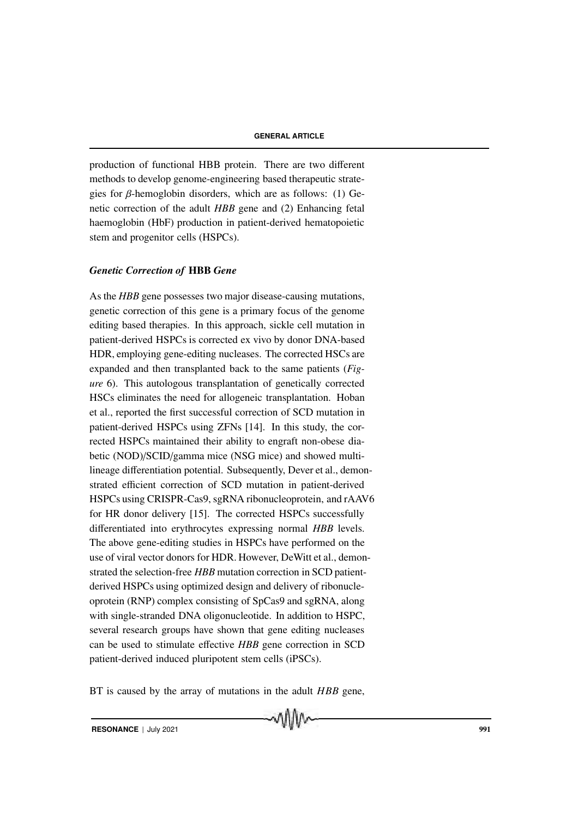production of functional HBB protein. There are two different methods to develop genome-engineering based therapeutic strategies for  $\beta$ -hemoglobin disorders, which are as follows: (1) Genetic correction of the adult *HBB* gene and (2) Enhancing fetal haemoglobin (HbF) production in patient-derived hematopoietic stem and progenitor cells (HSPCs).

## *Genetic Correction of* HBB *Gene*

As the *HBB* gene possesses two major disease-causing mutations, genetic correction of this gene is a primary focus of the genome editing based therapies. In this approach, sickle cell mutation in patient-derived HSPCs is corrected ex vivo by donor DNA-based HDR, employing gene-editing nucleases. The corrected HSCs are expanded and then transplanted back to the same patients (*Figure* 6). This autologous transplantation of genetically corrected HSCs eliminates the need for allogeneic transplantation. Hoban et al., reported the first successful correction of SCD mutation in patient-derived HSPCs using ZFNs [14]. In this study, the corrected HSPCs maintained their ability to engraft non-obese diabetic (NOD)/SCID/gamma mice (NSG mice) and showed multilineage differentiation potential. Subsequently, Dever et al., demonstrated efficient correction of SCD mutation in patient-derived HSPCs using CRISPR-Cas9, sgRNA ribonucleoprotein, and rAAV6 for HR donor delivery [15]. The corrected HSPCs successfully differentiated into erythrocytes expressing normal *HBB* levels. The above gene-editing studies in HSPCs have performed on the use of viral vector donors for HDR. However, DeWitt et al., demonstrated the selection-free *HBB* mutation correction in SCD patientderived HSPCs using optimized design and delivery of ribonucleoprotein (RNP) complex consisting of SpCas9 and sgRNA, along with single-stranded DNA oligonucleotide. In addition to HSPC, several research groups have shown that gene editing nucleases can be used to stimulate effective *HBB* gene correction in SCD patient-derived induced pluripotent stem cells (iPSCs).

BT is caused by the array of mutations in the adult *HBB* gene,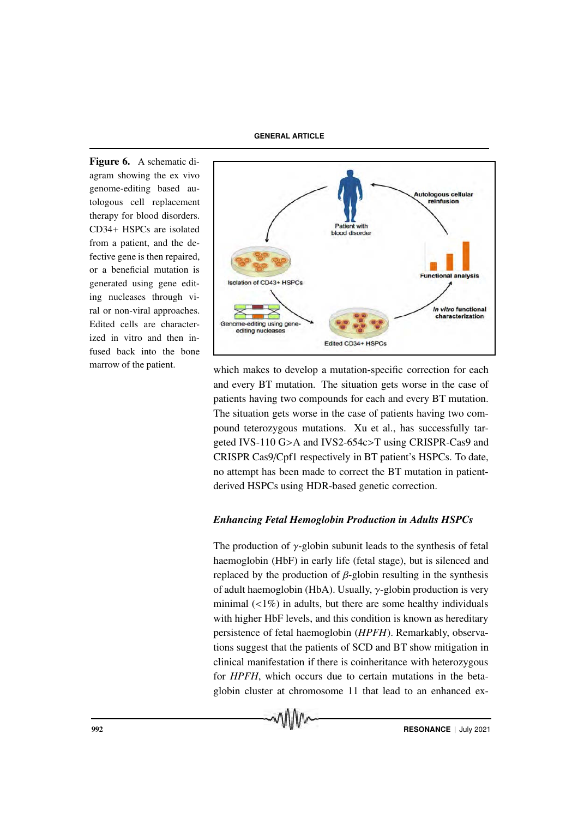Figure 6. A schematic diagram showing the ex vivo genome-editing based autologous cell replacement therapy for blood disorders. CD34+ HSPCs are isolated from a patient, and the defective gene is then repaired, or a beneficial mutation is generated using gene editing nucleases through viral or non-viral approaches. Edited cells are characterized in vitro and then infused back into the bone



marrow of the patient.<br>which makes to develop a mutation-specific correction for each and every BT mutation. The situation gets worse in the case of patients having two compounds for each and every BT mutation. The situation gets worse in the case of patients having two compound teterozygous mutations. Xu et al., has successfully targeted IVS-110 G>A and IVS2-654c>T using CRISPR-Cas9 and CRISPR Cas9/Cpf1 respectively in BT patient's HSPCs. To date, no attempt has been made to correct the BT mutation in patientderived HSPCs using HDR-based genetic correction.

## *Enhancing Fetal Hemoglobin Production in Adults HSPCs*

The production of  $\gamma$ -globin subunit leads to the synthesis of fetal haemoglobin (HbF) in early life (fetal stage), but is silenced and replaced by the production of  $β$ -globin resulting in the synthesis of adult haemoglobin (HbA). Usually, γ-globin production is very minimal  $\left($  <1%) in adults, but there are some healthy individuals with higher HbF levels, and this condition is known as hereditary persistence of fetal haemoglobin (*HPFH*). Remarkably, observations suggest that the patients of SCD and BT show mitigation in clinical manifestation if there is coinheritance with heterozygous for *HPFH*, which occurs due to certain mutations in the betaglobin cluster at chromosome 11 that lead to an enhanced ex-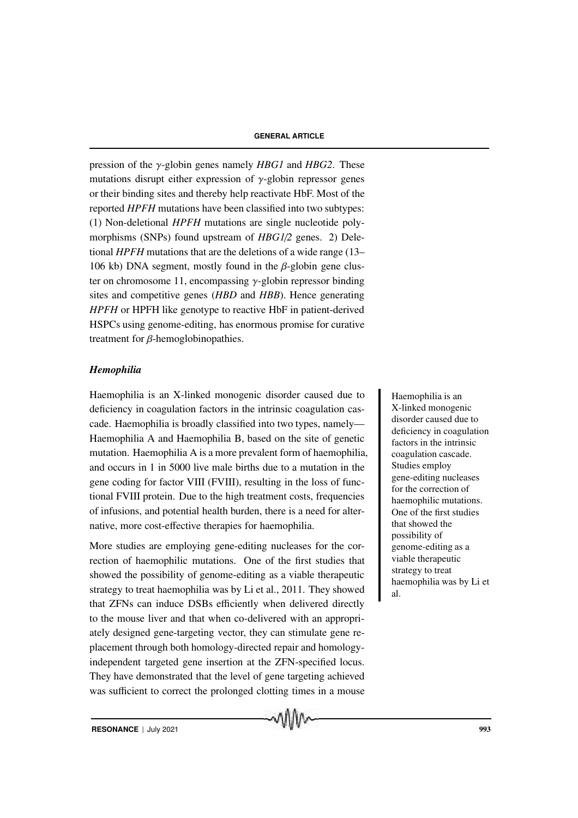pression of the γ-globin genes namely *HBG1* and *HBG2*. These mutations disrupt either expression of  $\gamma$ -globin repressor genes or their binding sites and thereby help reactivate HbF. Most of the reported *HPFH* mutations have been classified into two subtypes: (1) Non-deletional *HPFH* mutations are single nucleotide polymorphisms (SNPs) found upstream of *HBG1*/*2* genes. 2) Deletional *HPFH* mutations that are the deletions of a wide range (13– 106 kb) DNA segment, mostly found in the  $\beta$ -globin gene cluster on chromosome 11, encompassing  $\gamma$ -globin repressor binding sites and competitive genes (*HBD* and *HBB*). Hence generating *HPFH* or HPFH like genotype to reactive HbF in patient-derived HSPCs using genome-editing, has enormous promise for curative treatment for β-hemoglobinopathies.

#### *Hemophilia*

Haemophilia is an X-linked monogenic disorder caused due to Haemophilia is an deficiency in coagulation factors in the intrinsic coagulation cascade. Haemophilia is broadly classified into two types, namely— Haemophilia A and Haemophilia B, based on the site of genetic mutation. Haemophilia A is a more prevalent form of haemophilia, and occurs in 1 in 5000 live male births due to a mutation in the gene coding for factor VIII (FVIII), resulting in the loss of functional FVIII protein. Due to the high treatment costs, frequencies of infusions, and potential health burden, there is a need for alternative, more cost-effective therapies for haemophilia.

More studies are employing gene-editing nucleases for the correction of haemophilic mutations. One of the first studies that showed the possibility of genome-editing as a viable therapeutic strategy to treat haemophilia was by Li et al., 2011. They showed that ZFNs can induce DSBs efficiently when delivered directly to the mouse liver and that when co-delivered with an appropriately designed gene-targeting vector, they can stimulate gene replacement through both homology-directed repair and homologyindependent targeted gene insertion at the ZFN-specified locus. They have demonstrated that the level of gene targeting achieved was sufficient to correct the prolonged clotting times in a mouse

X-linked monogenic disorder caused due to deficiency in coagulation factors in the intrinsic coagulation cascade. Studies employ gene-editing nucleases for the correction of haemophilic mutations. One of the first studies that showed the possibility of genome-editing as a viable therapeutic strategy to treat haemophilia was by Li et al.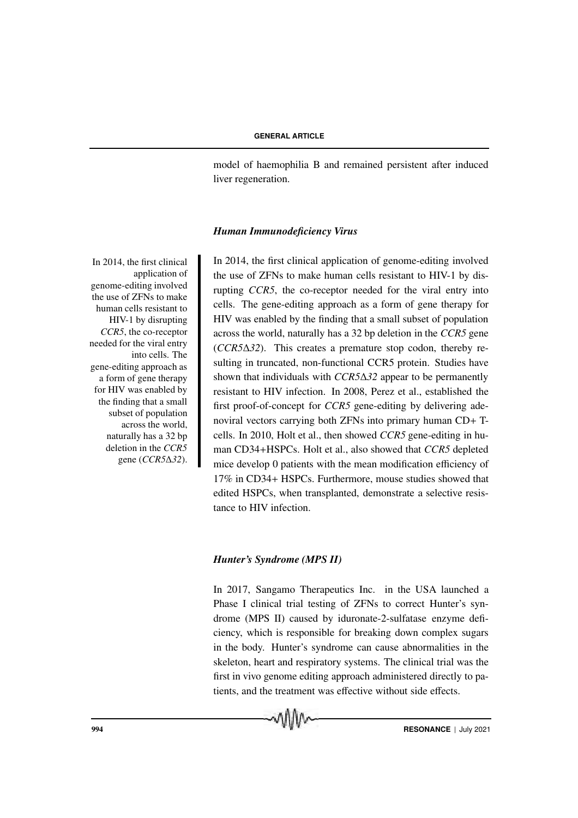model of haemophilia B and remained persistent after induced liver regeneration.

#### *Human Immunodeficiency Virus*

In  $2014$ , the first clinical application of genome-editing involved the use of ZFNs to make human cells resistant to HIV-1 by disrupting *CCR5*, the co-receptor needed for the viral entry into cells. The gene-editing approach as a form of gene therapy for HIV was enabled by the finding that a small subset of population across the world, naturally has a 32 bp deletion in the *CCR5* gene (*CCR5*∆*32*). In 2014, the first clinical application of genome-editing involved the use of ZFNs to make human cells resistant to HIV-1 by disrupting *CCR5*, the co-receptor needed for the viral entry into cells. The gene-editing approach as a form of gene therapy for HIV was enabled by the finding that a small subset of population across the world, naturally has a 32 bp deletion in the *CCR5* gene (*CCR5*∆*32*). This creates a premature stop codon, thereby resulting in truncated, non-functional CCR5 protein. Studies have shown that individuals with *CCR5*∆*32* appear to be permanently resistant to HIV infection. In 2008, Perez et al., established the first proof-of-concept for *CCR5* gene-editing by delivering adenoviral vectors carrying both ZFNs into primary human CD+ Tcells. In 2010, Holt et al., then showed *CCR5* gene-editing in human CD34+HSPCs. Holt et al., also showed that *CCR5* depleted mice develop 0 patients with the mean modification efficiency of 17% in CD34+ HSPCs. Furthermore, mouse studies showed that edited HSPCs, when transplanted, demonstrate a selective resistance to HIV infection.

#### *Hunter's Syndrome (MPS II)*

In 2017, Sangamo Therapeutics Inc. in the USA launched a Phase I clinical trial testing of ZFNs to correct Hunter's syndrome (MPS II) caused by iduronate-2-sulfatase enzyme deficiency, which is responsible for breaking down complex sugars in the body. Hunter's syndrome can cause abnormalities in the skeleton, heart and respiratory systems. The clinical trial was the first in vivo genome editing approach administered directly to patients, and the treatment was effective without side effects.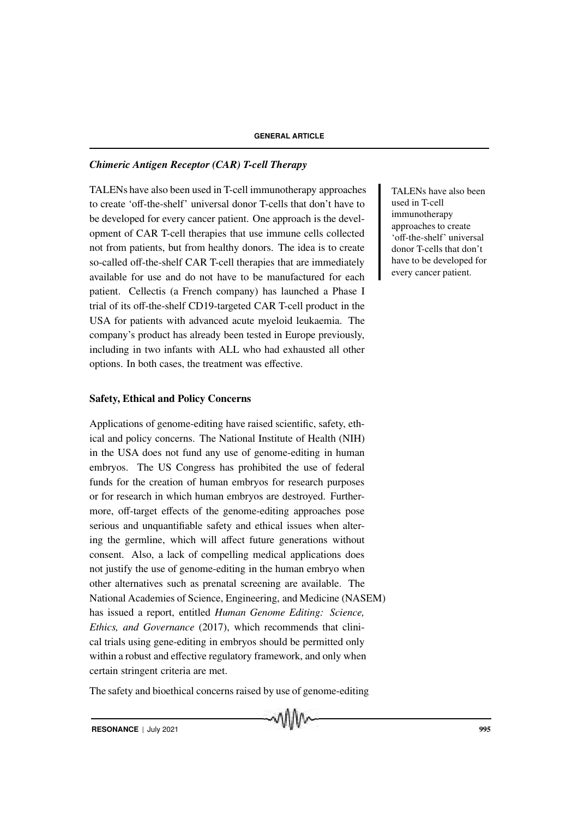## *Chimeric Antigen Receptor (CAR) T-cell Therapy*

TALENs have also been used in T-cell immunotherapy approaches TALENs have also been to create 'off-the-shelf' universal donor T-cells that don't have to be developed for every cancer patient. One approach is the development of CAR T-cell therapies that use immune cells collected not from patients, but from healthy donors. The idea is to create so-called off-the-shelf CAR T-cell therapies that are immediately available for use and do not have to be manufactured for each patient. Cellectis (a French company) has launched a Phase I trial of its off-the-shelf CD19-targeted CAR T-cell product in the USA for patients with advanced acute myeloid leukaemia. The company's product has already been tested in Europe previously, including in two infants with ALL who had exhausted all other options. In both cases, the treatment was effective.

## Safety, Ethical and Policy Concerns

Applications of genome-editing have raised scientific, safety, ethical and policy concerns. The National Institute of Health (NIH) in the USA does not fund any use of genome-editing in human embryos. The US Congress has prohibited the use of federal funds for the creation of human embryos for research purposes or for research in which human embryos are destroyed. Furthermore, off-target effects of the genome-editing approaches pose serious and unquantifiable safety and ethical issues when altering the germline, which will affect future generations without consent. Also, a lack of compelling medical applications does not justify the use of genome-editing in the human embryo when other alternatives such as prenatal screening are available. The National Academies of Science, Engineering, and Medicine (NASEM) has issued a report, entitled *Human Genome Editing: Science, Ethics, and Governance* (2017), which recommends that clinical trials using gene-editing in embryos should be permitted only within a robust and effective regulatory framework, and only when certain stringent criteria are met.

The safety and bioethical concerns raised by use of genome-editing

mMn

used in T-cell immunotherapy approaches to create 'off-the-shelf' universal donor T-cells that don't have to be developed for every cancer patient.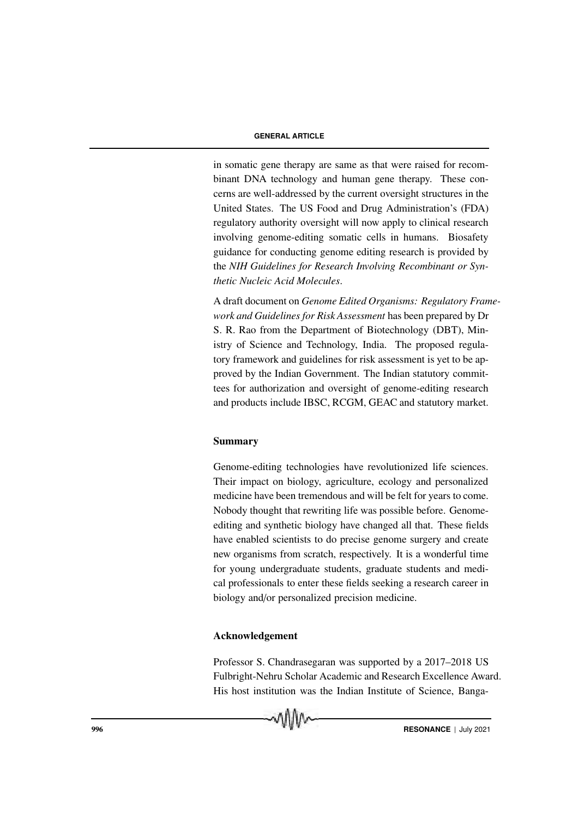in somatic gene therapy are same as that were raised for recombinant DNA technology and human gene therapy. These concerns are well-addressed by the current oversight structures in the United States. The US Food and Drug Administration's (FDA) regulatory authority oversight will now apply to clinical research involving genome-editing somatic cells in humans. Biosafety guidance for conducting genome editing research is provided by the *NIH Guidelines for Research Involving Recombinant or Synthetic Nucleic Acid Molecules*.

A draft document on *Genome Edited Organisms: Regulatory Framework and Guidelines for Risk Assessment* has been prepared by Dr S. R. Rao from the Department of Biotechnology (DBT), Ministry of Science and Technology, India. The proposed regulatory framework and guidelines for risk assessment is yet to be approved by the Indian Government. The Indian statutory committees for authorization and oversight of genome-editing research and products include IBSC, RCGM, GEAC and statutory market.

## Summary

Genome-editing technologies have revolutionized life sciences. Their impact on biology, agriculture, ecology and personalized medicine have been tremendous and will be felt for years to come. Nobody thought that rewriting life was possible before. Genomeediting and synthetic biology have changed all that. These fields have enabled scientists to do precise genome surgery and create new organisms from scratch, respectively. It is a wonderful time for young undergraduate students, graduate students and medical professionals to enter these fields seeking a research career in biology and/or personalized precision medicine.

## Acknowledgement

Professor S. Chandrasegaran was supported by a 2017–2018 US Fulbright-Nehru Scholar Academic and Research Excellence Award. His host institution was the Indian Institute of Science, Banga-

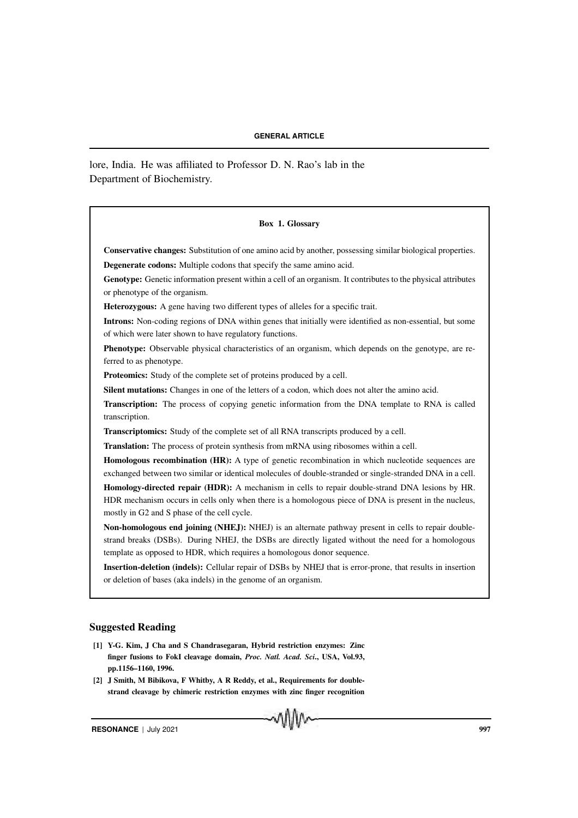lore, India. He was affiliated to Professor D. N. Rao's lab in the Department of Biochemistry.

#### Box 1. Glossary

Conservative changes: Substitution of one amino acid by another, possessing similar biological properties. Degenerate codons: Multiple codons that specify the same amino acid.

Genotype: Genetic information present within a cell of an organism. It contributes to the physical attributes or phenotype of the organism.

Heterozygous: A gene having two different types of alleles for a specific trait.

Introns: Non-coding regions of DNA within genes that initially were identified as non-essential, but some of which were later shown to have regulatory functions.

Phenotype: Observable physical characteristics of an organism, which depends on the genotype, are referred to as phenotype.

Proteomics: Study of the complete set of proteins produced by a cell.

Silent mutations: Changes in one of the letters of a codon, which does not alter the amino acid.

Transcription: The process of copying genetic information from the DNA template to RNA is called transcription.

Transcriptomics: Study of the complete set of all RNA transcripts produced by a cell.

Translation: The process of protein synthesis from mRNA using ribosomes within a cell.

Homologous recombination (HR): A type of genetic recombination in which nucleotide sequences are exchanged between two similar or identical molecules of double-stranded or single-stranded DNA in a cell. Homology-directed repair (HDR): A mechanism in cells to repair double-strand DNA lesions by HR. HDR mechanism occurs in cells only when there is a homologous piece of DNA is present in the nucleus, mostly in G2 and S phase of the cell cycle.

Non-homologous end joining (NHEJ): NHEJ) is an alternate pathway present in cells to repair doublestrand breaks (DSBs). During NHEJ, the DSBs are directly ligated without the need for a homologous template as opposed to HDR, which requires a homologous donor sequence.

Insertion-deletion (indels): Cellular repair of DSBs by NHEJ that is error-prone, that results in insertion or deletion of bases (aka indels) in the genome of an organism.

#### Suggested Reading

- [1] Y-G. Kim, J Cha and S Chandrasegaran, Hybrid restriction enzymes: Zinc finger fusions to FokI cleavage domain, *Proc. Natl. Acad. Sci*., USA, Vol.93, pp.1156–1160, 1996.
- [2] J Smith, M Bibikova, F Whitby, A R Reddy, et al., Requirements for doublestrand cleavage by chimeric restriction enzymes with zinc finger recognition